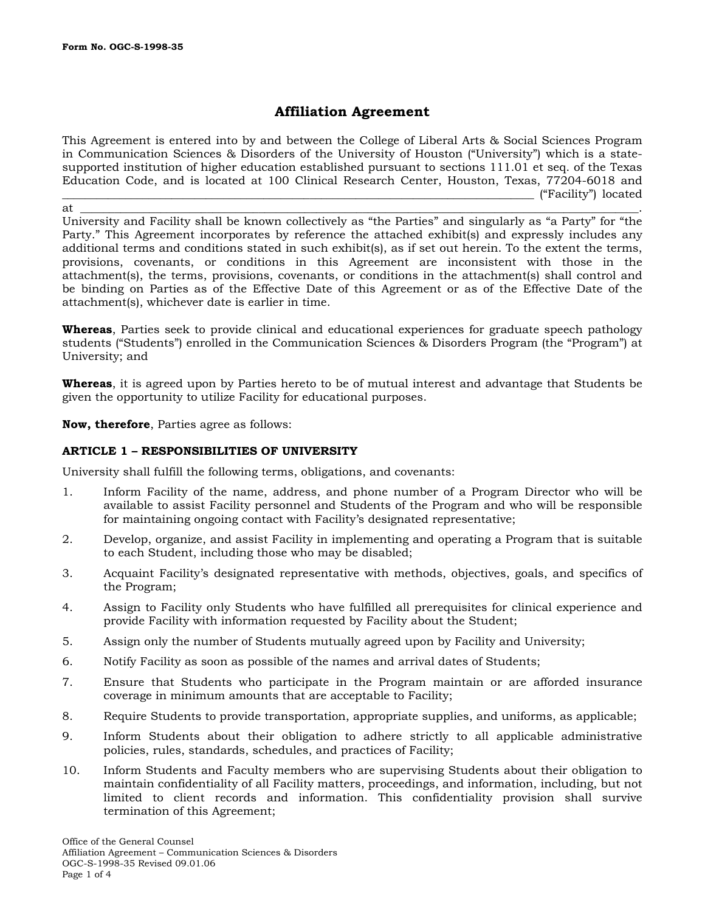# **Affiliation Agreement**

This Agreement is entered into by and between the College of Liberal Arts & Social Sciences Program in Communication Sciences & Disorders of the University of Houston ("University") which is a statesupported institution of higher education established pursuant to sections 111.01 et seq. of the Texas Education Code, and is located at 100 Clinical Research Center, Houston, Texas, 77204-6018 and \_\_\_\_\_\_\_\_\_\_\_\_\_\_\_\_\_\_\_\_\_\_\_\_\_\_\_\_\_\_\_\_\_\_\_\_\_\_\_\_\_\_\_\_\_\_\_\_\_\_\_\_\_\_\_\_\_\_\_\_\_\_\_\_\_\_\_\_\_\_\_\_\_\_\_\_\_\_\_\_\_\_ ("Facility") located

at \_\_\_\_\_\_\_\_\_\_\_\_\_\_\_\_\_\_\_\_\_\_\_\_\_\_\_\_\_\_\_\_\_\_\_\_\_\_\_\_\_\_\_\_\_\_\_\_\_\_\_\_\_\_\_\_\_\_\_\_\_\_\_\_\_\_\_\_\_\_\_\_\_\_\_\_\_\_\_\_\_\_\_\_\_\_\_\_\_\_\_\_\_\_\_\_\_. University and Facility shall be known collectively as "the Parties" and singularly as "a Party" for "the Party." This Agreement incorporates by reference the attached exhibit(s) and expressly includes any additional terms and conditions stated in such exhibit(s), as if set out herein. To the extent the terms, provisions, covenants, or conditions in this Agreement are inconsistent with those in the attachment(s), the terms, provisions, covenants, or conditions in the attachment(s) shall control and be binding on Parties as of the Effective Date of this Agreement or as of the Effective Date of the attachment(s), whichever date is earlier in time.

**Whereas**, Parties seek to provide clinical and educational experiences for graduate speech pathology students ("Students") enrolled in the Communication Sciences & Disorders Program (the "Program") at University; and

**Whereas**, it is agreed upon by Parties hereto to be of mutual interest and advantage that Students be given the opportunity to utilize Facility for educational purposes.

**Now, therefore**, Parties agree as follows:

# **ARTICLE 1 – RESPONSIBILITIES OF UNIVERSITY**

University shall fulfill the following terms, obligations, and covenants:

- 1. Inform Facility of the name, address, and phone number of a Program Director who will be available to assist Facility personnel and Students of the Program and who will be responsible for maintaining ongoing contact with Facility's designated representative;
- 2. Develop, organize, and assist Facility in implementing and operating a Program that is suitable to each Student, including those who may be disabled;
- 3. Acquaint Facility's designated representative with methods, objectives, goals, and specifics of the Program;
- 4. Assign to Facility only Students who have fulfilled all prerequisites for clinical experience and provide Facility with information requested by Facility about the Student;
- 5. Assign only the number of Students mutually agreed upon by Facility and University;
- 6. Notify Facility as soon as possible of the names and arrival dates of Students;
- 7. Ensure that Students who participate in the Program maintain or are afforded insurance coverage in minimum amounts that are acceptable to Facility;
- 8. Require Students to provide transportation, appropriate supplies, and uniforms, as applicable;
- 9. Inform Students about their obligation to adhere strictly to all applicable administrative policies, rules, standards, schedules, and practices of Facility;
- 10. Inform Students and Faculty members who are supervising Students about their obligation to maintain confidentiality of all Facility matters, proceedings, and information, including, but not limited to client records and information. This confidentiality provision shall survive termination of this Agreement;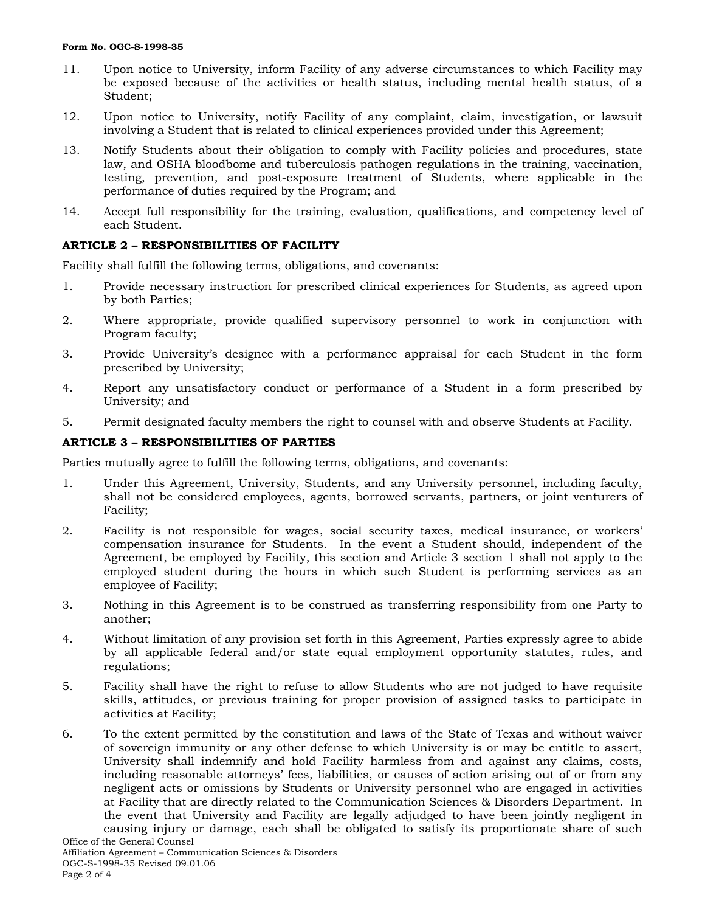#### **Form No. OGC-S-1998-35**

- 11. Upon notice to University, inform Facility of any adverse circumstances to which Facility may be exposed because of the activities or health status, including mental health status, of a Student;
- 12. Upon notice to University, notify Facility of any complaint, claim, investigation, or lawsuit involving a Student that is related to clinical experiences provided under this Agreement;
- 13. Notify Students about their obligation to comply with Facility policies and procedures, state law, and OSHA bloodbome and tuberculosis pathogen regulations in the training, vaccination, testing, prevention, and post-exposure treatment of Students, where applicable in the performance of duties required by the Program; and
- 14. Accept full responsibility for the training, evaluation, qualifications, and competency level of each Student.

# **ARTICLE 2 – RESPONSIBILITIES OF FACILITY**

Facility shall fulfill the following terms, obligations, and covenants:

- 1. Provide necessary instruction for prescribed clinical experiences for Students, as agreed upon by both Parties;
- 2. Where appropriate, provide qualified supervisory personnel to work in conjunction with Program faculty;
- 3. Provide University's designee with a performance appraisal for each Student in the form prescribed by University;
- 4. Report any unsatisfactory conduct or performance of a Student in a form prescribed by University; and
- 5. Permit designated faculty members the right to counsel with and observe Students at Facility.

# **ARTICLE 3 – RESPONSIBILITIES OF PARTIES**

Parties mutually agree to fulfill the following terms, obligations, and covenants:

- 1. Under this Agreement, University, Students, and any University personnel, including faculty, shall not be considered employees, agents, borrowed servants, partners, or joint venturers of Facility;
- 2. Facility is not responsible for wages, social security taxes, medical insurance, or workers' compensation insurance for Students. In the event a Student should, independent of the Agreement, be employed by Facility, this section and Article 3 section 1 shall not apply to the employed student during the hours in which such Student is performing services as an employee of Facility;
- 3. Nothing in this Agreement is to be construed as transferring responsibility from one Party to another;
- 4. Without limitation of any provision set forth in this Agreement, Parties expressly agree to abide by all applicable federal and/or state equal employment opportunity statutes, rules, and regulations;
- 5. Facility shall have the right to refuse to allow Students who are not judged to have requisite skills, attitudes, or previous training for proper provision of assigned tasks to participate in activities at Facility;
- Office of the General Counsel 6. To the extent permitted by the constitution and laws of the State of Texas and without waiver of sovereign immunity or any other defense to which University is or may be entitle to assert, University shall indemnify and hold Facility harmless from and against any claims, costs, including reasonable attorneys' fees, liabilities, or causes of action arising out of or from any negligent acts or omissions by Students or University personnel who are engaged in activities at Facility that are directly related to the Communication Sciences & Disorders Department. In the event that University and Facility are legally adjudged to have been jointly negligent in causing injury or damage, each shall be obligated to satisfy its proportionate share of such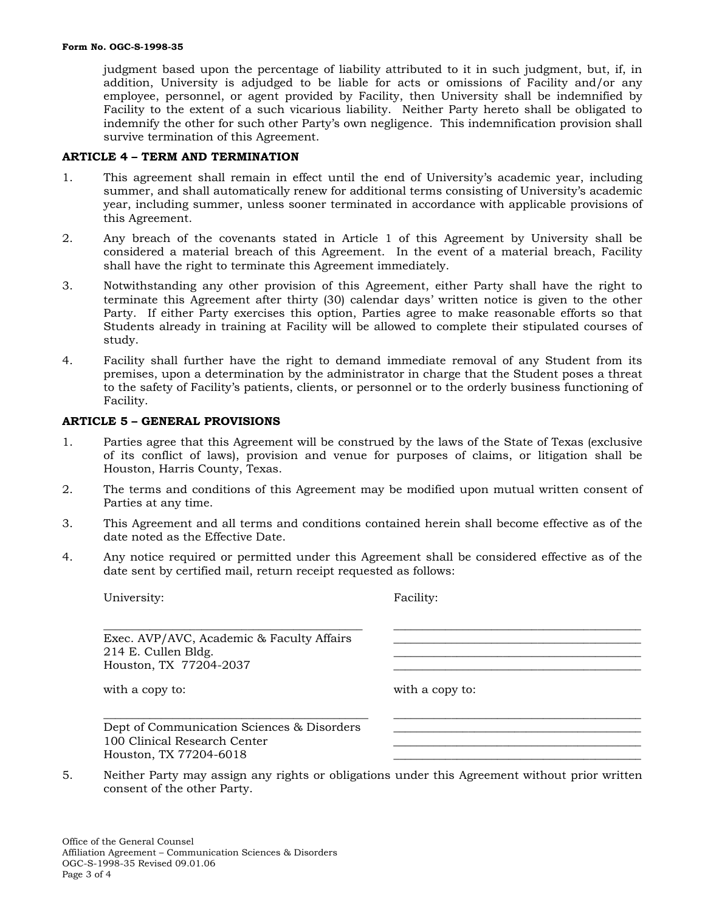judgment based upon the percentage of liability attributed to it in such judgment, but, if, in addition, University is adjudged to be liable for acts or omissions of Facility and/or any employee, personnel, or agent provided by Facility, then University shall be indemnified by Facility to the extent of a such vicarious liability. Neither Party hereto shall be obligated to indemnify the other for such other Party's own negligence. This indemnification provision shall survive termination of this Agreement.

#### **ARTICLE 4 – TERM AND TERMINATION**

- 1. This agreement shall remain in effect until the end of University's academic year, including summer, and shall automatically renew for additional terms consisting of University's academic year, including summer, unless sooner terminated in accordance with applicable provisions of this Agreement.
- 2. Any breach of the covenants stated in Article 1 of this Agreement by University shall be considered a material breach of this Agreement. In the event of a material breach, Facility shall have the right to terminate this Agreement immediately.
- 3. Notwithstanding any other provision of this Agreement, either Party shall have the right to terminate this Agreement after thirty (30) calendar days' written notice is given to the other Party. If either Party exercises this option, Parties agree to make reasonable efforts so that Students already in training at Facility will be allowed to complete their stipulated courses of study.
- 4. Facility shall further have the right to demand immediate removal of any Student from its premises, upon a determination by the administrator in charge that the Student poses a threat to the safety of Facility's patients, clients, or personnel or to the orderly business functioning of Facility.

### **ARTICLE 5 – GENERAL PROVISIONS**

- 1. Parties agree that this Agreement will be construed by the laws of the State of Texas (exclusive of its conflict of laws), provision and venue for purposes of claims, or litigation shall be Houston, Harris County, Texas.
- 2. The terms and conditions of this Agreement may be modified upon mutual written consent of Parties at any time.
- 3. This Agreement and all terms and conditions contained herein shall become effective as of the date noted as the Effective Date.
- 4. Any notice required or permitted under this Agreement shall be considered effective as of the date sent by certified mail, return receipt requested as follows:

| University:                                                                                          | Facility:       |
|------------------------------------------------------------------------------------------------------|-----------------|
| Exec. AVP/AVC, Academic & Faculty Affairs<br>214 E. Cullen Bldg.<br>Houston, TX 77204-2037           |                 |
| with a copy to:                                                                                      | with a copy to: |
| Dept of Communication Sciences & Disorders<br>100 Clinical Research Center<br>Houston, TX 77204-6018 |                 |

5. Neither Party may assign any rights or obligations under this Agreement without prior written consent of the other Party.